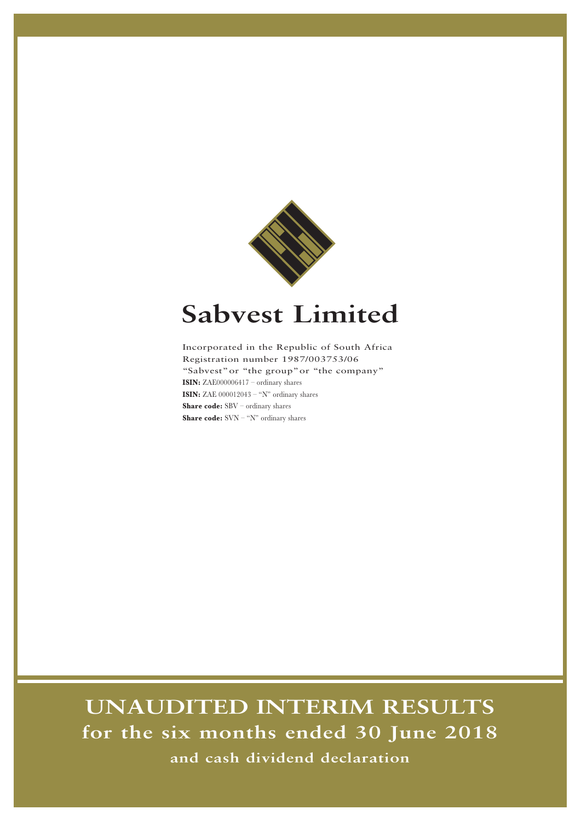

# **Sabvest Limited**

Incorporated in the Republic of South Africa Registration number 1987/003753/06 "Sabvest"or "the group"or "the company" **ISIN:** ZAE000006417 – ordinary shares **ISIN:** ZAE  $000012043 - "N"$  ordinary shares **Share code:** SBV – ordinary shares **Share code:** SVN – "N" ordinary shares

# **UNAUDITED INTERIM RESULTS for the six months ended 30 June 2018 and cash dividend declaration**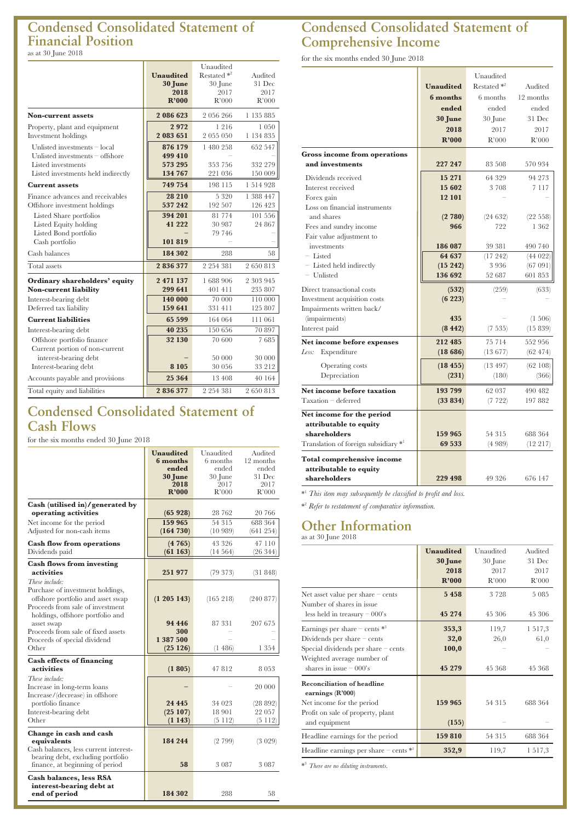#### **Condensed Consolidated Statement of Financial Position** as at 30 June 2018

## **Condensed Consolidated Statement of Cash Flows**

for the six months ended 30 June 2018

|                                                                                                                               | Unaudited<br>6 months<br>ended<br>30 June<br>2018<br>R'000 | Unaudited<br>6 months<br>ended<br>30 June<br>2017<br>R'000 | Audited<br>12 months<br>ended<br>31 Dec<br>2017<br>R'000 |
|-------------------------------------------------------------------------------------------------------------------------------|------------------------------------------------------------|------------------------------------------------------------|----------------------------------------------------------|
| Cash (utilised in)/generated by<br>operating activities                                                                       | (65928)                                                    | 28 762                                                     | 20 766                                                   |
| Net income for the period<br>Adjusted for non-cash items                                                                      | 159 965<br>(164 730)                                       | 54 315<br>(10989)                                          | 688 364<br>(641254)                                      |
| <b>Cash flow from operations</b><br>Dividends paid                                                                            | (4765)<br>(61163)                                          | 43 326<br>(14564)                                          | 47 110<br>(26 344)                                       |
| <b>Cash flows from investing</b><br>activities                                                                                | 251977                                                     | (79373)                                                    | (31 848)                                                 |
| These include:<br>Purchase of investment holdings,<br>offshore portfolio and asset swap<br>Proceeds from sale of investment   | (1 205 143)                                                | (165 218)                                                  | (240 877)                                                |
| holdings, offshore portfolio and<br>asset swap<br>Proceeds from sale of fixed assets<br>Proceeds of special dividend<br>Other | 94 446<br>300<br>1 387 500<br>(25126)                      | 87 331<br>(1486)                                           | 207 675<br>1 354                                         |
| <b>Cash effects of financing</b><br>activities                                                                                | (1805)                                                     | 47812                                                      | 8 053                                                    |
| These include:<br>Increase in long-term loans<br>Increase/(decrease) in offshore                                              |                                                            |                                                            | 20 000                                                   |
| portfolio finance<br>Interest-bearing debt<br>Other                                                                           | 24 4 4 5<br>(25107)<br>(1143)                              | 34 023<br>18 901<br>(5112)                                 | (28892)<br>22 057<br>(5112)                              |
| Change in cash and cash<br>equivalents<br>Cash balances, less current interest-                                               | 184 244                                                    | (2799)                                                     | (3 029)                                                  |
| bearing debt, excluding portfolio<br>finance, at beginning of period                                                          | 58                                                         | 3 0 8 7                                                    | 3 0 8 7                                                  |
| <b>Cash balances, less RSA</b><br>interest-bearing debt at<br>end of period                                                   | 184 302                                                    | 288                                                        | 58                                                       |

## **Condensed Consolidated Statement of Comprehensive Income**

for the six months ended 30 June 2018

|                                                                             |                  | Unaudited      |            |
|-----------------------------------------------------------------------------|------------------|----------------|------------|
|                                                                             | <b>Unaudited</b> | Restated $*^2$ | Audited    |
|                                                                             | 6 months         | 6 months       | 12 months  |
|                                                                             | ended            | ended          | ended      |
|                                                                             | 30 June          | 30 June        | 31 Dec     |
|                                                                             | 2018             | 2017           | 2017       |
|                                                                             | R'000            | R'000          | R'000      |
| Gross income from operations                                                |                  |                |            |
| and investments                                                             | 227 247          | 83 508         | 570 934    |
| Dividends received                                                          | 15 271           | 64 329         | 94 273     |
| Interest received                                                           | 15 602           | 3 708          | 7 1 1 7    |
| Forex gain                                                                  | 12 101           |                |            |
| Loss on financial instruments                                               |                  |                |            |
| and shares                                                                  | (2780)           | (24632)        | (22 558)   |
| Fees and sundry income                                                      | 966              | 722            | 1 362      |
| Fair value adjustment to                                                    |                  |                |            |
| investments                                                                 | 186 087          | 39 381         | 490 740    |
| - Listed                                                                    | 64 637           | (17242)        | (44022)    |
| - Listed held indirectly                                                    | (15 242)         | 3936           | (67 091)   |
| - Unlisted                                                                  | 136 692          | 52 687         | 601 853    |
| Direct transactional costs                                                  | (532)            | (259)          | (633)      |
| Investment acquisition costs                                                | (6223)           |                |            |
| Impairments written back/                                                   |                  |                |            |
| (impairments)                                                               | 435              |                | $(1\ 506)$ |
| Interest paid                                                               | (8442)           | (7 535)        | (15839)    |
| Net income before expenses                                                  | 212 485          | 75 714         | 552 956    |
| Less:<br>Expenditure                                                        | (1866)           | (13677)        | (62 474)   |
| <b>Operating costs</b>                                                      | (18455)          | (13.497)       | (62108)    |
| Depreciation                                                                | (231)            | (180)          | (366)      |
| Net income before taxation                                                  | 193 799          | 62 037         | 490 482    |
| Taxation - deferred                                                         | (33 834)         | (7 722)        | 197 882    |
| Net income for the period                                                   |                  |                |            |
| attributable to equity                                                      |                  |                |            |
| shareholders                                                                | 159 965          | 54 315         | 688 364    |
| Translation of foreign subsidiary *1                                        | 69 533           | (4989)         | (12 217)   |
|                                                                             |                  |                |            |
| Total comprehensive income<br>attributable to equity                        |                  |                |            |
| shareholders                                                                | 229 498          | 49 326         | 676 147    |
| * <sup>1</sup> This item may subsequently be classified to profit and loss. |                  |                |            |

\* <sup>2</sup> *Refer to restatement of comparative information.*

# **Other Information**

as at 30 June 2018

|                                                                  | <b>Unaudited</b> | Unaudited | Audited |
|------------------------------------------------------------------|------------------|-----------|---------|
|                                                                  | 30 June          | 30 June   | 31 Dec  |
|                                                                  | 2018             | 2017      | 2017    |
|                                                                  | R'000            | R'000     | R'000   |
| Net asset value per share $-$ cents<br>Number of shares in issue | 5 4 5 8          | 3 7 2 8   | 5 0 8 5 |
| less held in treasury $-000$ 's                                  | 45 274           | 45 306    | 45 306  |
| Earnings per share – cents $*$ <sup>3</sup>                      | 353,3            | 119,7     | 1517,3  |
| Dividends per share $-$ cents                                    | 32,0             | 26,0      | 61,0    |
| Special dividends per share - cents                              | 100,0            |           |         |
| Weighted average number of                                       |                  |           |         |
| shares in issue $-000$ 's                                        | 45 279           | 45 368    | 45 368  |
| <b>Reconciliation of headline</b><br>earnings (R'000)            |                  |           |         |
| Net income for the period                                        | 159 965          | 54 315    | 688 364 |
| Profit on sale of property, plant                                |                  |           |         |
| and equipment                                                    | (155)            |           |         |
| Headline earnings for the period                                 | 159 810          | 54 315    | 688 364 |
| Headline earnings per share $-$ cents $*$ <sup>2</sup>           | 352,9            | 119,7     | 1 517,3 |

\* <sup>3</sup> *There are no diluting instruments.*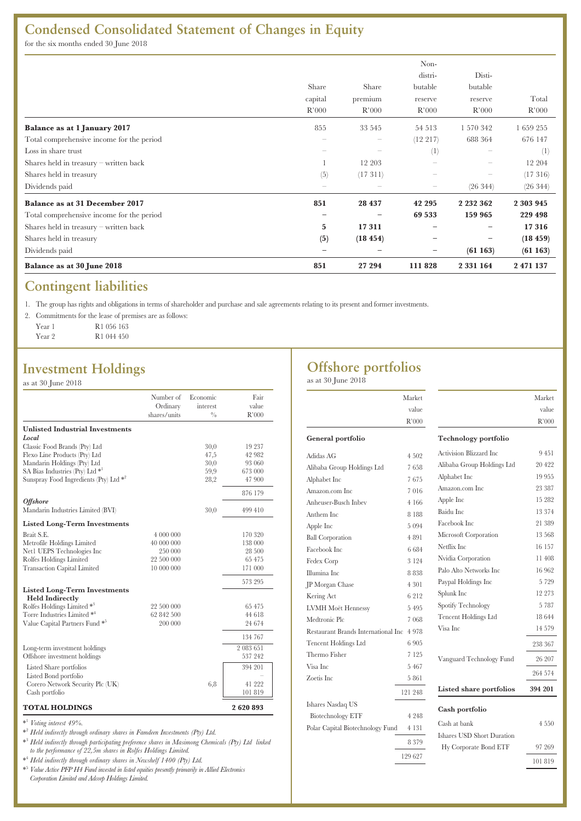# **Condensed Consolidated Statement of Changes in Equity**

for the six months ended 30 June 2018

|                                           |                                 |                                 | Non-     |               |           |
|-------------------------------------------|---------------------------------|---------------------------------|----------|---------------|-----------|
|                                           |                                 |                                 | distri-  | Disti-        |           |
|                                           | Share                           | Share                           | butable  | butable       |           |
|                                           | capital                         | premium                         | reserve  | reserve       | Total     |
|                                           | R'000                           | R'000                           | R'000    | R'000         | R'000     |
| Balance as at 1 January 2017              | 855                             | 33 545                          | 54 513   | 1 570 342     | 1 659 255 |
| Total comprehensive income for the period | $\hspace{0.1mm}-\hspace{0.1mm}$ | $\hspace{0.1mm}-\hspace{0.1mm}$ | (12 217) | 688 364       | 676 147   |
| Loss in share trust                       | -                               |                                 | (1)      |               | (1)       |
| Shares held in treasury – written back    |                                 | 12 203                          |          |               | 12 204    |
| Shares held in treasury                   | (5)                             | (17311)                         |          |               | (17316)   |
| Dividends paid                            | -                               |                                 |          | (26 344)      | (26 344)  |
| Balance as at 31 December 2017            | 851                             | 28 437                          | 42 295   | 2 2 3 2 3 6 2 | 2 303 945 |
| Total comprehensive income for the period | $\overline{\phantom{m}}$        | $\qquad \qquad -$               | 69 533   | 159 965       | 229 498   |
| Shares held in treasury – written back    | 5                               | 17311                           |          |               | 17316     |
| Shares held in treasury                   | (5)                             | (18454)                         |          |               | (18459)   |
| Dividends paid                            | —                               |                                 |          | (61163)       | (61163)   |
| Balance as at 30 June 2018                | 851                             | 27 294                          | 111 828  | 2 3 3 1 1 6 4 | 2 471 137 |

## **Contingent liabilities**

1. The group has rights and obligations in terms of shareholder and purchase and sale agreements relating to its present and former investments.

2. Commitments for the lease of premises are as follows:

| Year 1 | R <sub>1</sub> 056 163 |
|--------|------------------------|
| Year 2 | R <sub>1</sub> 044 450 |

## **Investment Holdings**

as at 30 June 2018

|                                                                                   | Number of<br>Ordinary<br>shares/units | Economic<br>interest<br>$^{0/6}$ | Fair<br>value<br>R'000 |
|-----------------------------------------------------------------------------------|---------------------------------------|----------------------------------|------------------------|
| <b>Unlisted Industrial Investments</b>                                            |                                       |                                  |                        |
| Local                                                                             |                                       |                                  |                        |
| Classic Food Brands (Pty) Ltd                                                     |                                       | 30,0                             | 19 237                 |
| Flexo Line Products (Pty) Ltd                                                     |                                       | 47,5                             | 42 982                 |
| Mandarin Holdings (Pty) Ltd                                                       |                                       | 30,0                             | 93 060                 |
| SA Bias Industries (Pty) Ltd $*$ <sup>1</sup>                                     |                                       | 59,9                             | 673 000                |
| Sunspray Food Ingredients (Pty) Ltd *2                                            |                                       | 28,2                             | 47 900                 |
|                                                                                   |                                       |                                  | 876 179                |
| <i><b>Offshore</b></i><br>Mandarin Industries Limited (BVI)                       |                                       | 30,0                             | 499 410                |
|                                                                                   |                                       |                                  |                        |
| <b>Listed Long-Term Investments</b>                                               |                                       |                                  |                        |
| Brait S.E.                                                                        | 4 000 000                             |                                  | 170 320                |
| Metrofile Holdings Limited                                                        | 40 000 000                            |                                  | 138 000                |
| Net1 UEPS Technologies Inc                                                        | 250 000                               |                                  | 28 500                 |
| Rolfes Holdings Limited                                                           | 22 500 000                            |                                  | 65 475                 |
| <b>Transaction Capital Limited</b>                                                | 10 000 000                            |                                  | 171 000                |
|                                                                                   |                                       |                                  | 573 295                |
| <b>Listed Long-Term Investments</b>                                               |                                       |                                  |                        |
| <b>Held Indirectly</b>                                                            | 22 500 000                            |                                  | 65 475                 |
| Rolfes Holdings Limited * <sup>3</sup><br>Torre Industries Limited * <sup>4</sup> | 62 842 500                            |                                  |                        |
|                                                                                   |                                       |                                  | 44 618                 |
| Value Capital Partners Fund <sup>*</sup>                                          | 200 000                               |                                  | 24 674                 |
|                                                                                   |                                       |                                  | 134 767                |
| Long-term investment holdings                                                     |                                       |                                  | 2 083 651              |
| Offshore investment holdings                                                      |                                       |                                  | 537 242                |
| Listed Share portfolios                                                           |                                       |                                  | 394 201                |
| Listed Bond portfolio                                                             |                                       |                                  |                        |
| Corero Network Security Plc (UK)                                                  |                                       | 6,8                              | 41 222                 |
| Cash portfolio                                                                    |                                       |                                  | 101819                 |
| <b>TOTAL HOLDINGS</b>                                                             |                                       |                                  | 2620893                |

\* <sup>1</sup> *Voting interest 49%.*

\* <sup>2</sup> *Held indirectly through ordinary shares in Famdeen Investments (Pty) Ltd.*

\* <sup>3</sup> *Held indirectly through participating preference shares in Masimong Chemicals (Pty) Ltd linked to the performance of 22,5m shares in Rolfes Holdings Limited.*

\* <sup>4</sup> *Held indirectly through ordinary shares in Newshelf 1400 (Pty) Ltd.*

\* <sup>5</sup> *Value Active PFP H4 Fund invested in listed equities presently primarily in Allied Electronics Corporation Limited and Adcorp Holdings Limited.*

# **Offshore portfolios**

as at 30 June 2018

|                                           | Market  |                             | Market  |
|-------------------------------------------|---------|-----------------------------|---------|
|                                           | value   |                             | value   |
|                                           | R'000   |                             | R'000   |
| General portfolio                         |         | <b>Technology portfolio</b> |         |
| Adidas AG                                 | 4 5 0 2 | Activision Blizzard Inc     | 9451    |
| Alibaba Group Holdings Ltd                | 7658    | Alibaba Group Holdings Ltd  | 20 422  |
| Alphabet Inc                              | 7675    | Alphabet Inc                | 19 955  |
| Amazon.com Inc                            | 7016    | Amazon.com Inc.             | 23 387  |
| Anheuser-Busch Inbey                      | 4 1 6 6 | Apple Inc                   | 15 282  |
| Anthem Inc                                | 8 1 8 8 | Baidu Inc                   | 13 374  |
| Apple Inc                                 | 5 0 9 4 | Facebook Inc                | 21 389  |
| <b>Ball Corporation</b>                   | 4 8 9 1 | Microsoft Corporation       | 13 568  |
| Facebook Inc                              | 6684    | Netflix Inc.                | 16 157  |
| Fedex Corp                                | 3 1 2 4 | Nvidia Corporation          | 11 408  |
| Illumina Inc                              | 8 8 3 8 | Palo Alto Networks Inc      | 16 962  |
| JP Morgan Chase                           | 4 301   | Paypal Holdings Inc         | 5729    |
| Kering Act                                | 6212    | Splunk Inc                  | 12 273  |
| <b>LVMH Moët Hennessy</b>                 | 5495    | Spotify Technology          | 5 7 8 7 |
| Medtronic Plc                             | 7 068   | <b>Tencent Holdings Ltd</b> | 18 644  |
| Restaurant Brands International Inc 4 978 |         | Visa Inc                    | 14 579  |
| <b>Tencent Holdings Ltd</b>               | 6 9 0 5 |                             | 238 367 |
| Thermo Fisher                             | 7 1 2 5 | Vanguard Technology Fund    | 26 207  |
| Visa Inc                                  | 5467    |                             |         |
| Zoetis Inc.                               | 5861    |                             | 264 574 |
|                                           | 121 248 | Listed share portfolios     | 394 201 |
| Ishares Nasdaq US                         |         | Cash portfolio              |         |
| <b>Biotechnology ETF</b>                  | 4 2 4 8 |                             |         |
| Polar Capital Biotechnology Fund          | 4 131   | Cash at bank                | 4 5 5 0 |
|                                           | 8 3 7 9 | Ishares USD Short Duration  |         |
|                                           |         | Hy Corporate Bond ETF       | 97 269  |
|                                           | 129 627 |                             | 101 819 |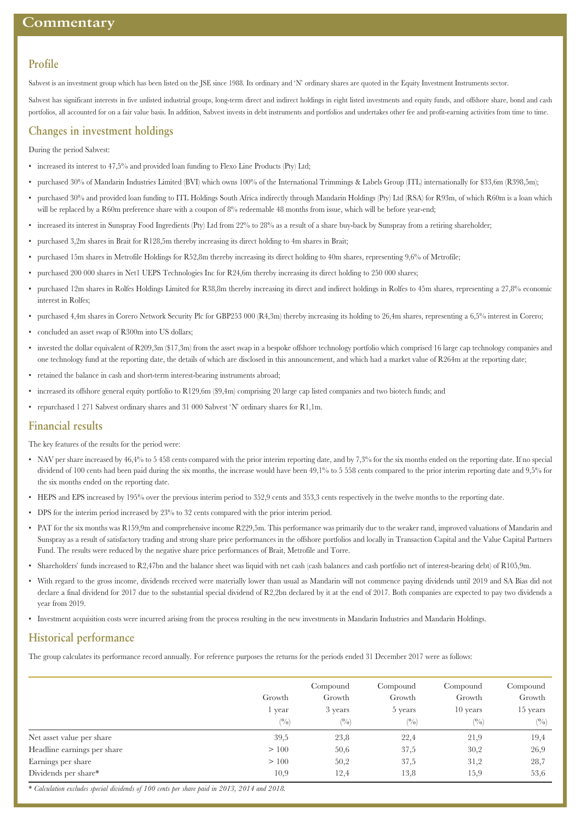#### **Profile**

Sabvest is an investment group which has been listed on the JSE since 1988. Its ordinary and 'N' ordinary shares are quoted in the Equity Investment Instruments sector.

Sabvest has significant interests in five unlisted industrial groups, long-term direct and indirect holdings in eight listed investments and equity funds, and offshore share, bond and cash portfolios, all accounted for on a fair value basis. In addition, Sabvest invests in debt instruments and portfolios and undertakes other fee and profit-earning activities from time to time.

### **Changes in investment holdings**

During the period Sabvest:

- increased its interest to 47,5% and provided loan funding to Flexo Line Products (Pty) Ltd;
- purchased 30% of Mandarin Industries Limited (BVI) which owns 100% of the International Trimmings & Labels Group (ITL) internationally for \$33,6m (R398,5m);
- purchased 30% and provided loan funding to ITL Holdings South Africa indirectly through Mandarin Holdings (Pty) Ltd (RSA) for R93m, of which R60m is a loan which will be replaced by a R60m preference share with a coupon of 8% redeemable 48 months from issue, which will be before year-end;
- increased its interest in Sunspray Food Ingredients (Pty) Ltd from 22% to 28% as a result of a share buy-back by Sunspray from a retiring shareholder;
- purchased 3,2m shares in Brait for R128,5m thereby increasing its direct holding to 4m shares in Brait;
- purchased 15m shares in Metrofile Holdings for R52,8m thereby increasing its direct holding to 40m shares, representing 9,6% of Metrofile;
- purchased 200 000 shares in Net1 UEPS Technologies Inc for R24,6m thereby increasing its direct holding to 250 000 shares;
- purchased 12m shares in Rolfes Holdings Limited for R38,8m thereby increasing its direct and indirect holdings in Rolfes to 45m shares, representing a 27,8% economic interest in Rolfes;
- purchased 4,4m shares in Corero Network Security Plc for GBP253 000 (R4,3m) thereby increasing its holding to 26,4m shares, representing a 6,5% interest in Corero;
- concluded an asset swap of R300m into US dollars;
- invested the dollar equivalent of R209,3m (\$17,3m) from the asset swap in a bespoke offshore technology portfolio which comprised 16 large cap technology companies and one technology fund at the reporting date, the details of which are disclosed in this announcement, and which had a market value of R264m at the reporting date;
- retained the balance in cash and short-term interest-bearing instruments abroad;
- increased its offshore general equity portfolio to R129.6m (\$9.4m) comprising 20 large cap listed companies and two biotech funds; and
- repurchased 1 271 Sabvest ordinary shares and 31 000 Sabvest 'N' ordinary shares for R1,1m.

#### **Financial results**

The key features of the results for the period were:

- NAV per share increased by 46,4% to 5 458 cents compared with the prior interim reporting date, and by 7,3% for the six months ended on the reporting date. If no special dividend of 100 cents had been paid during the six months, the increase would have been 49,1% to 5 558 cents compared to the prior interim reporting date and 9,5% for the six months ended on the reporting date.
- HEPS and EPS increased by 195% over the previous interim period to 352,9 cents and 353,3 cents respectively in the twelve months to the reporting date.
- DPS for the interim period increased by 23% to 32 cents compared with the prior interim period.
- PAT for the six months was R159,9m and comprehensive income R229,5m. This performance was primarily due to the weaker rand, improved valuations of Mandarin and Sunspray as a result of satisfactory trading and strong share price performances in the offshore portfolios and locally in Transaction Capital and the Value Capital Partners Fund. The results were reduced by the negative share price performances of Brait, Metrofile and Torre.
- Shareholders' funds increased to R2,47bn and the balance sheet was liquid with net cash (cash balances and cash portfolio net of interest-bearing debt) of R105,9m.
- With regard to the gross income, dividends received were materially lower than usual as Mandarin will not commence paying dividends until 2019 and SA Bias did not declare a final dividend for 2017 due to the substantial special dividend of R2,2bn declared by it at the end of 2017. Both companies are expected to pay two dividends a year from 2019.
- Investment acquisition costs were incurred arising from the process resulting in the new investments in Mandarin Industries and Mandarin Holdings.

## **Historical performance**

The group calculates its performance record annually. For reference purposes the returns for the periods ended 31 December 2017 were as follows:

|                             |        | Compound | Compound | Compound      | Compound     |
|-----------------------------|--------|----------|----------|---------------|--------------|
|                             | Growth | Growth   | Growth   | Growth        | Growth       |
|                             | vear   | 3 years  | 5 years  | 10 years      | 15 years     |
|                             | (0/0)  | (0/0)    | (0/0)    | $(^{0}/_{0})$ | $(^{0}_{0})$ |
| Net asset value per share   | 39,5   | 23,8     | 22,4     | 21,9          | 19,4         |
| Headline earnings per share | >100   | 50,6     | 37,5     | 30,2          | 26,9         |
| Earnings per share          | >100   | 50,2     | 37,5     | 31,2          | 28,7         |
| Dividends per share*        | 10,9   | 12,4     | 13,8     | 15,9          | 53,6         |

\* *Calculation excludes special dividends of 100 cents per share paid in 2013, 2014 and 2018.*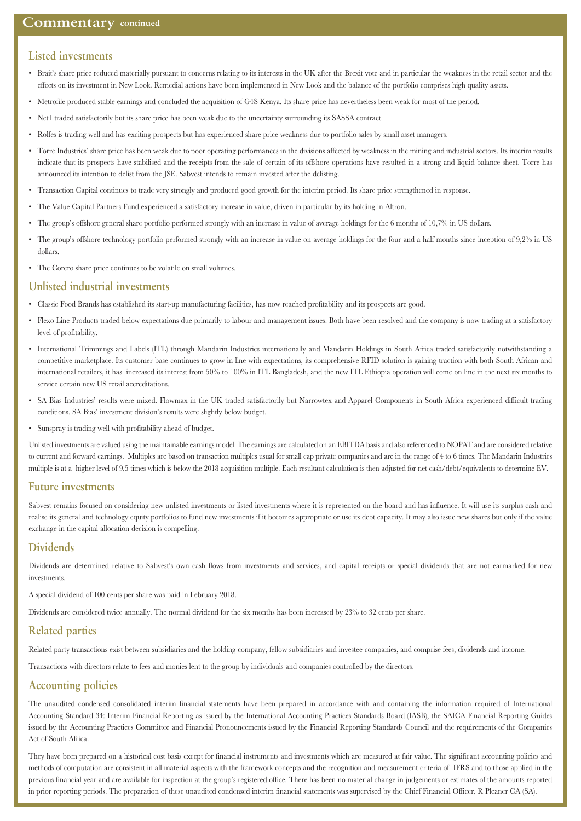#### **Listed investments**

- Brait's share price reduced materially pursuant to concerns relating to its interests in the UK after the Brexit vote and in particular the weakness in the retail sector and the effects on its investment in New Look. Remedial actions have been implemented in New Look and the balance of the portfolio comprises high quality assets.
- Metrofile produced stable earnings and concluded the acquisition of G4S Kenya. Its share price has nevertheless been weak for most of the period.
- Net1 traded satisfactorily but its share price has been weak due to the uncertainty surrounding its SASSA contract.
- Rolfes is trading well and has exciting prospects but has experienced share price weakness due to portfolio sales by small asset managers.
- Torre Industries' share price has been weak due to poor operating performances in the divisions affected by weakness in the mining and industrial sectors. Its interim results indicate that its prospects have stabilised and the receipts from the sale of certain of its offshore operations have resulted in a strong and liquid balance sheet. Torre has announced its intention to delist from the JSE. Sabvest intends to remain invested after the delisting.
- Transaction Capital continues to trade very strongly and produced good growth for the interim period. Its share price strengthened in response.
- The Value Capital Partners Fund experienced a satisfactory increase in value, driven in particular by its holding in Altron.
- The group's offshore general share portfolio performed strongly with an increase in value of average holdings for the 6 months of 10,7% in US dollars.
- The group's offshore technology portfolio performed strongly with an increase in value on average holdings for the four and a half months since inception of 9,2% in US dollars.
- The Corero share price continues to be volatile on small volumes.

#### **Unlisted industrial investments**

- Classic Food Brands has established its start-up manufacturing facilities, has now reached profitability and its prospects are good.
- Flexo Line Products traded below expectations due primarily to labour and management issues. Both have been resolved and the company is now trading at a satisfactory level of profitability.
- International Trimmings and Labels (ITL) through Mandarin Industries internationally and Mandarin Holdings in South Africa traded satisfactorily notwithstanding a competitive marketplace. Its customer base continues to grow in line with expectations, its comprehensive RFID solution is gaining traction with both South African and international retailers, it has increased its interest from 50% to 100% in ITL Bangladesh, and the new ITL Ethiopia operation will come on line in the next six months to service certain new US retail accreditations.
- SA Bias Industries' results were mixed. Flowmax in the UK traded satisfactorily but Narrowtex and Apparel Components in South Africa experienced difficult trading conditions. SA Bias' investment division's results were slightly below budget.
- Sunspray is trading well with profitability ahead of budget.

Unlisted investments are valued using the maintainable earnings model. The earnings are calculated on an EBITDA basis and also referenced to NOPAT and are considered relative to current and forward earnings. Multiples are based on transaction multiples usual for small cap private companies and are in the range of 4 to 6 times. The Mandarin Industries multiple is at a higher level of 9,5 times which is below the 2018 acquisition multiple. Each resultant calculation is then adjusted for net cash/debt/equivalents to determine EV.

#### **Future investments**

Sabvest remains focused on considering new unlisted investments or listed investments where it is represented on the board and has influence. It will use its surplus cash and realise its general and technology equity portfolios to fund new investments if it becomes appropriate or use its debt capacity. It may also issue new shares but only if the value exchange in the capital allocation decision is compelling.

#### **Dividends**

Dividends are determined relative to Sabvest's own cash flows from investments and services, and capital receipts or special dividends that are not earmarked for new investments.

A special dividend of 100 cents per share was paid in February 2018.

Dividends are considered twice annually. The normal dividend for the six months has been increased by 23% to 32 cents per share.

#### **Related parties**

Related party transactions exist between subsidiaries and the holding company, fellow subsidiaries and investee companies, and comprise fees, dividends and income.

Transactions with directors relate to fees and monies lent to the group by individuals and companies controlled by the directors.

#### **Accounting policies**

The unaudited condensed consolidated interim financial statements have been prepared in accordance with and containing the information required of International Accounting Standard 34: Interim Financial Reporting as issued by the International Accounting Practices Standards Board (IASB), the SAICA Financial Reporting Guides issued by the Accounting Practices Committee and Financial Pronouncements issued by the Financial Reporting Standards Council and the requirements of the Companies Act of South Africa.

They have been prepared on a historical cost basis except for financial instruments and investments which are measured at fair value. The significant accounting policies and methods of computation are consistent in all material aspects with the framework concepts and the recognition and measurement criteria of IFRS and to those applied in the previous financial year and are available for inspection at the group's registered office. There has been no material change in judgements or estimates of the amounts reported in prior reporting periods. The preparation of these unaudited condensed interim financial statements was supervised by the Chief Financial Officer, R Pleaner CA (SA).